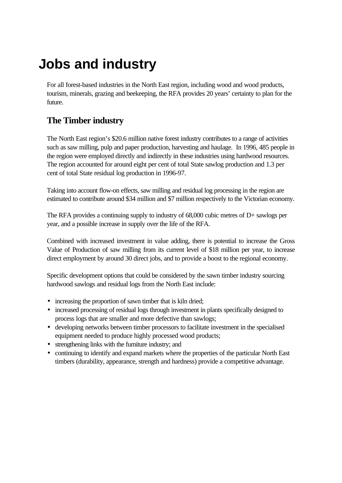# **Jobs and industry**

For all forest-based industries in the North East region, including wood and wood products, tourism, minerals, grazing and beekeeping, the RFA provides 20 years' certainty to plan for the future.

## **The Timber industry**

The North East region's \$20.6 million native forest industry contributes to a range of activities such as saw milling, pulp and paper production, harvesting and haulage. In 1996, 485 people in the region were employed directly and indirectly in these industries using hardwood resources. The region accounted for around eight per cent of total State sawlog production and 1.3 per cent of total State residual log production in 1996-97.

Taking into account flow-on effects, saw milling and residual log processing in the region are estimated to contribute around \$34 million and \$7 million respectively to the Victorian economy.

The RFA provides a continuing supply to industry of 68,000 cubic metres of D+ sawlogs per year, and a possible increase in supply over the life of the RFA.

Combined with increased investment in value adding, there is potential to increase the Gross Value of Production of saw milling from its current level of \$18 million per year, to increase direct employment by around 30 direct jobs, and to provide a boost to the regional economy.

Specific development options that could be considered by the sawn timber industry sourcing hardwood sawlogs and residual logs from the North East include:

- increasing the proportion of sawn timber that is kiln dried;
- increased processing of residual logs through investment in plants specifically designed to process logs that are smaller and more defective than sawlogs;
- developing networks between timber processors to facilitate investment in the specialised equipment needed to produce highly processed wood products;
- strengthening links with the furniture industry; and
- continuing to identify and expand markets where the properties of the particular North East timbers (durability, appearance, strength and hardness) provide a competitive advantage.